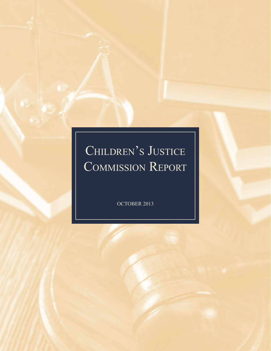# CHILDREN'S JUSTICE Commission Report

OCTOBER 2013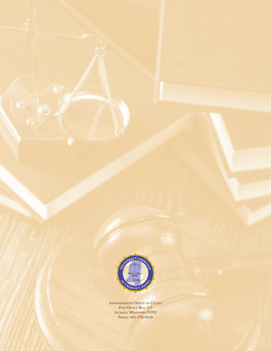

ADMINISTRATIVE OFFICE OF COURTS Post Office Box 117 JACKSON, MISSISSIPPI 39205 PHONE: 601-576-4630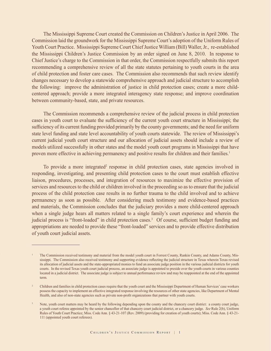The Mississippi Supreme Court created the Commission on Children's Justice in April 2006. The Commission laid the groundwork for the Mississippi Supreme Court's adoption of the Uniform Rules of Youth Court Practice. Mississippi Supreme Court Chief Justice William (Bill) Waller, Jr., re-established the Mississippi Children's Justice Commission by an order signed on June 8, 2010. In response to Chief Justice's charge to the Commission in that order, the Commission respectfully submits this report recommending a comprehensive review of all the state statutes pertaining to youth courts in the area of child protection and foster care cases. The Commission also recommends that such review identify changes necessary to develop a statewide comprehensive approach and judicial structure to accomplish the following: improve the administration of justice in child protection cases; create a more childcentered approach; provide a more integrated interagency state response; and improve coordination between community-based, state, and private resources.

The Commission recommends a comprehensive review of the judicial process in child protection cases in youth court to evaluate the sufficiency of the current youth court structure in Mississippi; the sufficiency of its current funding provided primarily by the county governments; and the need for uniform state level funding and state level accountability of youth courts statewide. The review of Mississippi's current judicial youth court structure and our allocation of judicial assets should include a review of models utilized successfully in other states and the model youth court programs in Mississippi that have proven more effective in achieving permanency and positive results for children and their families.<sup>1</sup>

To provide a more integrated<sup>2</sup> response in child protection cases, state agencies involved in responding, investigating, and presenting child protection cases to the court must establish effective liaison, procedures, processes, and integration of resources to maximize the effective provision of services and resources to the child or children involved in the proceeding so as to ensure that the judicial process of the child protection case results in no further trauma to the child involved and to achieve permanency as soon as possible. After considering much testimony and evidence-based practices and materials, the Commission concludes that the judiciary provides a more child-centered approach when a single judge hears all matters related to a single family's court experience and wherein the judicial process is "front-loaded" in child protection cases.<sup>3</sup> Of course, sufficient budget funding and appropriations are needed to provide these "front-loaded" services and to provide effective distribution of youth court judicial assets.

The Commission received testimony and material from the model youth court in Forrest County, Rankin County, and Adams County, Mississippi. The Commission also received testimony and supporting evidence reflecting the judicial structure in Texas wherein Texas revised its allocation of judicial assets and the state-appropriated monies to fund an associate judge position in the various judicial districts for youth courts. In the revised Texas youth court judicial process, an associate judge is appointed to preside over the youth courts in various counties located in a judicial district. The associate judge is subject to annual performance review and may be reappointed at the end of the appointed term.

<sup>&</sup>lt;sup>2</sup> Children and families in child protection cases require that the youth court and the Mississippi Department of Human Services' case workers possess the capacity to implement an effective integrated response involving the resources of other state agencies, like Department of Mental Health, and also of non-state agencies such as private non-profit organizations that partner with youth courts.

<sup>3</sup> Note, youth court matters may be heard by the following depending upon the county and the chancery court district: a county court judge, a youth court referee appointed by the senior chancellor of that chancery court judicial district, or a chancery judge. *See* Rule 2(b), Uniform Rules of Youth Court Practice; Miss. Code Ann. § 43-21-107 (Rev. 2009) (providing for creation of youth courts); Miss. Code Ann. § 43-21- 111 (appointed youth court referees).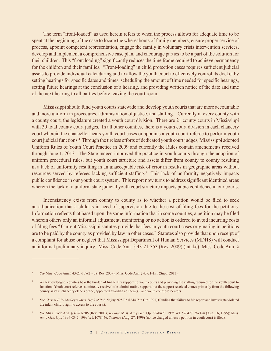The term "front-loaded" as used herein refers to when the process allows for adequate time to be spent at the beginning of the case to locate the whereabouts of family members, ensure proper service of process, appoint competent representation, engage the family in voluntary crisis intervention services, develop and implement a comprehensive case plan, and encourage parties to be a part of the solution for their children. This "front loading" significantly reduces the time frame required to achieve permanency for the children and their families. "Front-loading" in child protection cases requires sufficient judicial assets to provide individual calendaring and to allow the youth court to effectively control its docket by setting hearings for specific dates and times, scheduling the amount of time needed for specific hearings, setting future hearings at the conclusion of a hearing, and providing written notice of the date and time of the next hearing to all parties before leaving the court room.

Mississippi should fund youth courts statewide and develop youth courts that are more accountable and more uniform in procedures, administration of justice, and staffing. Currently in every county with a county court, the legislature created a youth court division. There are 21 county courts in Mississippi with 30 total county court judges. In all other counties, there is a youth court division in each chancery court wherein the chancellor hears youth court cases or appoints a youth court referee to perform youth court judicial functions.4 Through the tireless efforts of dedicated youth court judges, Mississippi adopted Uniform Rules of Youth Court Practice in 2009 and currently the Rules contain amendments received through June 1, 2013. The State indeed improved the practice in youth courts through the adoption of uniform procedural rules, but youth court structure and assets differ from county to county resulting in a lack of uniformity resulting in an unacceptable risk of error in results in geographic areas without resources served by referees lacking sufficient staffing.<sup>5</sup> This lack of uniformity negatively impacts public confidence in our youth court system. This report now turns to address significant identified areas wherein the lack of a uniform state judicial youth court structure impacts pubic confidence in our courts.

Inconsistency exists from county to county as to whether a petition would be filed to seek an adjudication that a child is in need of supervision due to the cost of filing fees for the petitions. Information reflects that based upon the same information that in some counties, a petition may be filed wherein others only an informal adjustment, monitoring or no action is ordered to avoid incurring costs of filing fees.<sup>6</sup> Current Mississippi statutes provide that fees in youth court cases originating in petitions are to be paid by the county as provided by law in other cases.<sup>7</sup> Statutes also provide that upon receipt of a complaint for abuse or neglect that Mississippi Department of Human Services (MDHS) will conduct an informal preliminary inquiry. Miss. Code Ann. § 43-21-353 (Rev. 2009) (intake); Miss. Code Ann. §

<sup>4</sup> *See* Miss. Code Ann.§ 43-21-107(2)-(3) (Rev. 2009); Miss. Code Ann.§ 43-21-151 (Supp. 2013).

<sup>5</sup>As acknowledged, counties bear the burden of financially supporting youth courts and providing the staffing required for the youth court to function. Youth court referees admittedly receive little administrative support, but the support received comes primarily from the following county assets: chancery clerk's office, appointed guardian ad litem(s), and youth court prosecutors.

<sup>6</sup> *See Chrissy F. By Medley v. Miss. Dep't of Pub. Safety*, 925 F2.d 844 (5th Cir. 1991) (Finding that failure to file report and investigate violated the infant child's right to access to the courts).

<sup>7</sup>*See* Miss. Code Ann. § 43-21-205 (Rev. 2009); *see also* Miss. Att'y Gen. Op., 95-0490, 1995 WL 526427, *Beckett* (Aug. 16, 1995); Miss. Att'y Gen. Op., 1999-0342, 1999 WL 1078446, *Sumners* (Aug. 27, 1999) (no fee charged unless a petition in youth court is filed).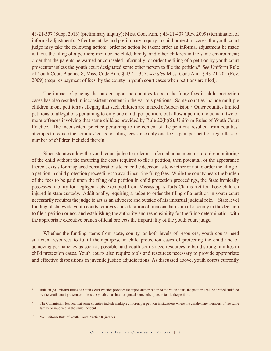43-21-357 (Supp. 2013) (preliminary inquiry); Miss. Code Ann. § 43-21-407 (Rev. 2009) (termination of informal adjustment). After the intake and preliminary inquiry in child protection cases, the youth court judge may take the following action: order no action be taken; order an informal adjustment be made without the filing of a petition; monitor the child, family, and other children in the same environment; order that the parents be warned or counseled informally; or order the filing of a petition by youth court prosecutor unless the youth court designated some other person to file the petition.<sup>8</sup> *See* Uniform Rule of Youth Court Practice 8; Miss. Code Ann. § 43-21-357; *see also* Miss. Code Ann. § 43-21-205 (Rev. 2009) (requires payment of fees by the county in youth court cases when petitions are filed).

The impact of placing the burden upon the counties to bear the filing fees in child protection cases has also resulted in inconsistent content in the various petitions. Some counties include multiple children in one petition as alleging that such children are in need of supervision.<sup>9</sup> Other counties limited petitions to allegations pertaining to only one child per petition, but allow a petition to contain two or more offenses involving that same child as provided by Rule 20(b)(5), Uniform Rules of Youth Court Practice. The inconsistent practice pertaining to the content of the petitions resulted from counties' attempts to reduce the counties' costs for filing fees since only one fee is paid per petition regardless of number of children included therein.

Since statutes allow the youth court judge to order an informal adjustment or to order monitoring of the child without the incurring the costs required to file a petition, then potential, or the appearance thereof, exists for misplaced considerations to enter the decision as to whether or not to order the filing of a petition in child protection proceedings to avoid incurring filing fees. While the county bears the burden of the fees to be paid upon the filing of a petition in child protection proceedings, the State ironically possesses liability for negligent acts exempted from Mississippi's Torts Claims Act for those children injured in state custody. Additionally, requiring a judge to order the filing of a petition in youth court necessarily requires the judge to act as an advocate and outside of his impartial judicial role.10 State level funding of statewide youth courts removes consideration of financial hardship of a county in the decision to file a petition or not, and establishing the authority and responsibility for the filing determination with the appropriate executive branch official protects the impartiality of the youth court judge.

Whether the funding stems from state, county, or both levels of resources, youth courts need sufficient resources to fulfill their purpose in child protection cases of protecting the child and of achieving permanency as soon as possible, and youth courts need resources to build strong families in child protection cases. Youth courts also require tools and resources necessary to provide appropriate and effective dispositions in juvenile justice adjudications. As discussed above, youth courts currently

Rule 20 (b) Uniform Rules of Youth Court Practice provides that upon authorization of the youth court, the petition shall be drafted and filed by the youth court prosecutor unless the youth court has designated some other person to file the petition.

<sup>&</sup>lt;sup>9</sup> The Commission learned that some counties include multiple children per petition in situations where the children are members of the same family or involved in the same incident.

<sup>&</sup>lt;sup>10</sup> *See* Uniform Rule of Youth Court Practice 8 (intake).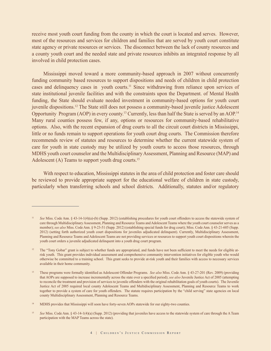receive most youth court funding from the county in which the court is located and serves. However, most of the resources and services for children and families that are served by youth court constitute state agency or private resources or services. The disconnect between the lack of county resources and a county youth court and the needed state and private resources inhibits an integrated response by all involved in child protection cases.

Mississippi moved toward a more community-based approach in 2007 without concurrently funding community based resources to support dispositions and needs of children in child protection cases and delinquency cases in youth courts.11 Since withdrawing from reliance upon services of state institutional juvenile facilities and with the constraints upon the Department. of Mental Health funding, the State should evaluate needed investment in community-based options for youth court juvenile dispositions.12 The State still does not possess a community-based juvenile justice Adolescent Opportunity Program (AOP) in every county.13 Currently, less than half the State is served by an AOP.14 Many rural counties possess few, if any, options or resources for community-based rehabilitative options. Also, with the recent expansion of drug courts to all the circuit court districts in Mississippi, little or no funds remain to support operations for youth court drug courts. The Commission therefore recommends review of statutes and resources to determine whether the current statewide system of care for youth in state custody may be utilized by youth courts to access those resources, through MDHS youth court counselor and the Multidisciplinary Assessment, Planning and Resource (MAP) and Adolescent (A) Teams to support youth drug courts.15

With respect to education, Mississippi statutes in the area of child protection and foster care should be reviewed to provide appropriate support for the educational welfare of children in state custody, particularly when transferring schools and school districts. Additionally, statutes and/or regulatory

<sup>11</sup> *See* Miss. Code Ann. § 43-14-1(4)(a)-(b) (Supp. 2012) (establishing procedures for youth court offenders to access the statewide system of care through Multidisciplinary Assessment, Planning and Resource Teams and Adolescent Teams where the youth court counselor serves as a member); *see also* Miss. Code Ann. § 9-23-51 (Supp. 2012) (establishing special funds for drug court); Miss. Code Ann. § 43-21-605 (Supp. 2012) (setting forth authorized youth court dispositions for juveniles adjudicated delinquent). Currently, Multidisciplinary Assessment, Planning and Resource Teams and Adolescent Teams are not providing services or resources to support youth court dispositions wherein the youth court orders a juvenile adjudicated delinquent into a youth drug court program.

<sup>12</sup> The "Tony Gobar" grant is subject to whether funds are appropriated, and funds have not been sufficient to meet the needs for eligible atrisk youth. This grant provides individual assessment and comprehensive community intervention initiatives for eligible youth who would otherwise be committed to a training school. This grant seeks to provide at-risk youth and their families with access to necessary services available in their home community.

<sup>13</sup>These programs were formally identified as Adolescent Offender Programs. *See also* Miss. Code Ann. § 43-27-201 (Rev. 2009) (providing that AOPs are supposed to increase incrementally across the state over a specified period); *see also* Juvenile Justice Act of 2005 (attempting to reconcile the treatment and provision of services to juvenile offenders with the original rehabilitation goals of youth courts). The Juvenile Justice Act of 2005 required local county Adolescent Teams and Multidisciplinary Assessment, Planning and Resource Teams to work together to provide a system of care for youth offenders. The statute requires participation by the "child serving" state agencies on local county Multidisciplinary Assessment, Planning and Resource Teams.

<sup>&</sup>lt;sup>14</sup> MDHS provides that Mississippi will soon have forty-seven AOPs statewide for our eighty-two counties.

<sup>&</sup>lt;sup>15</sup> See Miss. Code Ann. § 43-14-1(4)(a) (Supp. 2012) (providing that juveniles have access to the statewide system of care through the A Team participation with the MAP Teams across the state).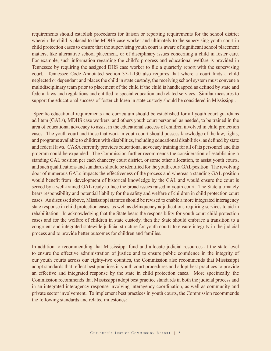requirements should establish procedures for liaison or reporting requirements for the school district wherein the child is placed to the MDHS case worker and ultimately to the supervising youth court in child protection cases to ensure that the supervising youth court is aware of significant school placement matters, like alternative school placement, or of disciplinary issues concerning a child in foster care. For example, such information regarding the child's progress and educational welfare is provided in Tennessee by requiring the assigned DHS case worker to file a quarterly report with the supervising court. Tennessee Code Annotated section 37-1-130 also requires that where a court finds a child neglected or dependant and places the child in state custody, the receiving school system must convene a multidisciplinary team prior to placement of the child if the child is handicapped as defined by state and federal laws and regulations and entitled to special education and related services. Similar measures to support the educational success of foster children in state custody should be considered in Mississippi.

 Specific educational requirements and curriculum should be established for all youth court guardians ad litem (GALs), MDHS case workers, and others youth court personnel as needed, to be trained in the area of educational advocacy to assist in the educational success of children involved in child protection cases. The youth court and those that work in youth court should possess knowledge of the law, rights, and programs available to children with disabilities, including educational disabilities, as defined by state and federal laws. CASA currently provides educational advocacy training for all of its personnel and this program could be expanded. The Commission further recommends the consideration of establishing a standing GAL position per each chancery court district, or some other allocation, to assist youth courts, and such qualifications and standards should be identified for the youth court GAL position. The revolving door of numerous GALs impacts the effectiveness of the process and whereas a standing GAL position would benefit from development of historical knowledge by the GAL and would ensure the court is served by a well-trained GAL ready to face the broad issues raised in youth court. The State ultimately bears responsibility and potential liability for the safety and welfare of children in child protection court cases. As discussed above, Mississippi statutes should be revised to enable a more integrated interagency state response in child protection cases, as well as delinquency adjudications requiring services to aid in rehabilitation. In acknowledging that the State bears the responsibility for youth court child protection cases and for the welfare of children in state custody, then the State should embrace a transition to a congruent and integrated statewide judicial structure for youth courts to ensure integrity in the judicial process and to provide better outcomes for children and families.

In addition to recommending that Mississippi fund and allocate judicial resources at the state level to ensure the effective administration of justice and to ensure public confidence in the integrity of our youth courts across our eighty-two counties, the Commission also recommends that Mississippi adopt standards that reflect best practices in youth court procedures and adopt best practices to provide an effective and integrated response by the state in child protection cases. More specifically, the Commission recommends that Mississippi adopt best practice standards in both the judicial process and in an integrated interagency response involving interagency coordination, as well as community and private sector involvement. To implement best practices in youth courts, the Commission recommends the following standards and related milestones: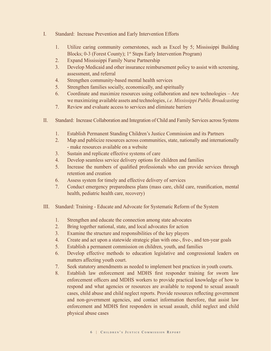- I. Standard: Increase Prevention and Early Intervention Efforts
	- 1. Utilize caring community cornerstones, such as Excel by 5; Mississippi Building Blocks; 0-3 (Forest County); 1<sup>st</sup> Steps Early Intervention Program)
	- 2. Expand Mississippi Family Nurse Partnership
	- 3. Develop Medicaid and other insurance reimbursement policy to assist with screening, assessment, and referral
	- 4. Strengthen community-based mental health services
	- 5. Strengthen families socially, economically, and spiritually
	- 6. Coordinate and maximize resources using collaboration and new technologies Are we maximizing available assets and technologies, *i.e. Mississippi Public Broadcasting*
	- 7. Review and evaluate access to services and eliminate barriers
- II. Standard: Increase Collaboration and Integration of Child and Family Services across Systems
	- 1. Establish Permanent Standing Children's Justice Commission and its Partners
	- 2. Map and publicize resources across communities, state, nationally and internationally - make resources available on a website
	- 3. Sustain and replicate effective systems of care
	- 4. Develop seamless service delivery options for children and families
	- 5. Increase the numbers of qualified professionals who can provide services through retention and creation
	- 6. Assess system for timely and effective delivery of services
	- 7. Conduct emergency preparedness plans (mass care, child care, reunification, mental health, pediatric health care, recovery)
- III. Standard: Training Educate and Advocate for Systematic Reform of the System
	- 1. Strengthen and educate the connection among state advocates
	- 2. Bring together national, state, and local advocates for action
	- 3. Examine the structure and responsibilities of the key players
	- 4. Create and act upon a statewide strategic plan with one-, five-, and ten-year goals
	- 5. Establish a permanent commission on children, youth, and families
	- 6. Develop effective methods to education legislative and congressional leaders on matters affecting youth court.
	- 7. Seek statutory amendments as needed to implement best practices in youth courts.
	- 8. Establish law enforcement and MDHS first responder training for sworn law enforcement officers and MDHS workers to provide practical knowledge of how to respond and what agencies or resources are available to respond to sexual assault cases, child abuse and child neglect reports. Provide resources reflecting government and non-government agencies, and contact information therefore, that assist law enforcement and MDHS first responders in sexual assault, child neglect and child physical abuse cases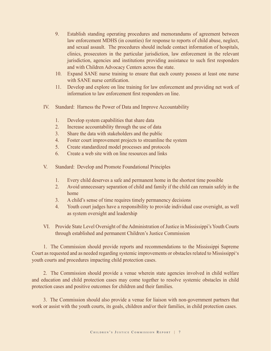- 9. Establish standing operating procedures and memorandums of agreement between law enforcement MDHS (in counties) for response to reports of child abuse, neglect, and sexual assault. The procedures should include contact information of hospitals, clinics, prosecutors in the particular jurisdiction, law enforcement in the relevant jurisdiction, agencies and institutions providing assistance to such first responders and with Children Advocacy Centers across the state.
- 10. Expand SANE nurse training to ensure that each county possess at least one nurse with SANE nurse certification.
- 11. Develop and explore on line training for law enforcement and providing net work of information to law enforcement first responders on line.
- IV. Standard: Harness the Power of Data and Improve Accountability
	- 1. Develop system capabilities that share data
	- 2. Increase accountability through the use of data
	- 3. Share the data with stakeholders and the public
	- 4. Foster court improvement projects to streamline the system
	- 5. Create standardized model processes and protocols
	- 6. Create a web site with on line resources and links
- V. Standard: Develop and Promote Foundational Principles
	- 1. Every child deserves a safe and permanent home in the shortest time possible
	- 2. Avoid unnecessary separation of child and family if the child can remain safely in the home
	- 3. A child's sense of time requires timely permanency decisions
	- 4. Youth court judges have a responsibility to provide individual case oversight, as well as system oversight and leadership
- VI. Provide State Level Oversight of the Administration of Justice in Mississippi's Youth Courts through established and permanent Children's Justice Commission

1. The Commission should provide reports and recommendations to the Mississippi Supreme Court as requested and as needed regarding systemic improvements or obstacles related to Mississippi's youth courts and procedures impacting child protection cases.

2. The Commission should provide a venue wherein state agencies involved in child welfare and education and child protection cases may come together to resolve systemic obstacles in child protection cases and positive outcomes for children and their families.

3. The Commission should also provide a venue for liaison with non-government partners that work or assist with the youth courts, its goals, children and/or their families, in child protection cases.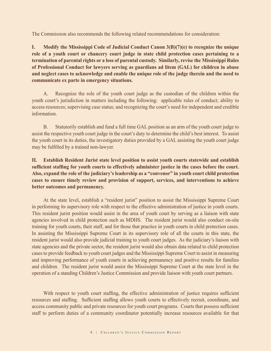The Commission also recommends the following related recommendations for consideration:

**I. Modify the Mississippi Code of Judicial Conduct Canon 3(B)(7)(e) to recognize the unique role of a youth court or chancery court judge in state child protection cases pertaining to a termination of parental rights or a loss of parental custody. Similarly, revise the Mississippi Rules of Professional Conduct for lawyers serving as guardians ad litem (GAL) for children in abuse and neglect cases to acknowledge and enable the unique role of the judge therein and the need to communicate ex parte in emergency situations.**

A. Recognize the role of the youth court judge as the custodian of the children within the youth court's jurisdiction in matters including the following: applicable rules of conduct; ability to access resources; supervising case status; and recognizing the court's need for independent and credible information.

B. Statutorily establish and fund a full time GAL position as an arm of the youth court judge to assist the respective youth court judge in the court's duty to determine the child's best interest. To assist the youth court in its duties, the investigatory duties provided by a GAL assisting the youth court judge may be fulfilled by a trained non-lawyer.

# **II. Establish Resident Jurist state level position to assist youth courts statewide and establish sufficient staffing for youth courts to effectively administer justice in the cases before the court. Also, expand the role of the judiciary's leadership as a "convenor" in youth court child protection cases to ensure timely review and provision of support, services, and interventions to achieve better outcomes and permanency.**

At the state level, establish a "resident jurist" position to assist the Mississippi Supreme Court in performing its supervisory role with respect to the effective administration of justice in youth courts. This resident jurist position would assist in the area of youth court by serving as a liaison with state agencies involved in child protection such as MDHS. The resident jurist would also conduct on-site training for youth courts, their staff, and for those that practice in youth courts in child protection cases. In assisting the Mississippi Supreme Court in its supervisory role of all the courts in this state, the resident jurist would also provide judicial training to youth court judges. As the judiciary's liaison with state agencies and the private sector, the resident jurist would also obtain data related to child protection cases to provide feedback to youth court judges and the Mississippi Supreme Court to assist in measuring and improving performance of youth courts in achieving permanency and positive results for families and children. The resident jurist would assist the Mississippi Supreme Court at the state level in the operation of a standing Children's Justice Commission and provide liaison with youth court partners.

With respect to youth court staffing, the effective administration of justice requires sufficient resources and staffing. Sufficient staffing allows youth courts to effectively recruit, coordinate, and access community public and private resources for youth court programs. Courts that possess sufficient staff to perform duties of a community coordinator potentially increase resources available for that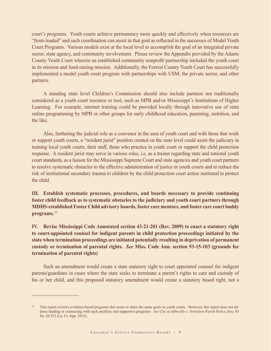court's programs. Youth courts achieve permanency more quickly and effectively when resources are "front-loaded" and such coordination can assist in that goal as reflected in the successes of Model Youth Court Programs. Various models exist at the local level to accomplish the goal of an integrated private sector, state agency, and community involvement. Please review the Appendix provided by the Adams County Youth Court wherein an established community nonprofit partnership included the youth court in its mission and fund-raising mission. Additionally, the Forrest County Youth Court has successfully implemented a model youth court program with partnerships with USM, the private sector, and other partners.

A standing state level Children's Commission should also include partners not traditionally considered as a youth court resource or tool, such as MPB and/or Mississippi's Institutions of Higher Learning. For example, internet training could be provided locally through innovative use of state online programming by MPB or other groups for early childhood education, parenting, nutrition, and the like.

Also, furthering the judicial role as a convenor in the area of youth court and with those that work or support youth courts, a "resident jurist" position created on the state level could assist the judiciary in training local youth courts, their staff, those who practice in youth court or support the child protection response. A resident jurist may serve in various roles, i.e. as a trainer regarding state and national youth court standards, as a liaison for the Mississippi Supreme Court and state agencies and youth court partners to resolve systematic obstacles to the effective administration of justice in youth courts and to reduce the risk of institutional secondary trauma to children by the child protection court action instituted to protect the child.

**III. Establish systematic processes, procedures, and boards necessary to provide continuing foster child feedback as to systematic obstacles to the judiciary and youth court partners through MDHS-established Foster Child advisory boards, foster care mentors, and foster care court buddy programs.**<sup>16</sup>

**IV. Revise Mississippi Code Annotated section 43-21-201 (Rev. 2009) to enact a statutory right to court-appointed counsel for indigent parents in child protection proceedings initiated by the state when termination proceedings are initiated potentially resulting in deprivation of permanent custody or termination of parental rights.** *See* **Miss. Code Ann. section 93-15-103 (grounds for termination of parental rights)** 

Such an amendment would create a state statutory right to court appointed counsel for indigent parents/guardians in cases where the state seeks to terminate a parent's rights to care and custody of his or her child, and this proposed statutory amendment would create a statutory based right, not a

<sup>16</sup> This report reviews evidence-based programs that assist or share the same goals as youth courts. However, this report does not address funding or contracting with such ancillary and supportive programs. *See City of Abbeville v. Vermilion Parish Police Jury*, 85 So. 3d 233 (La. Ct. App. 2012).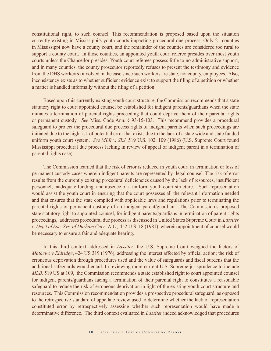constitutional right, to such counsel. This recommendation is proposed based upon the situation currently existing in Mississippi's youth courts impacting procedural due process. Only 21 counties in Mississippi now have a county court, and the remainder of the counties are considered too rural to support a county court. In those counties, an appointed youth court referee presides over most youth courts unless the Chancellor presides. Youth court referees possess little to no administrative support, and in many counties, the county prosecutor reportedly refuses to present the testimony and evidence from the DHS worker(s) involved in the case since such workers are state, not county, employees. Also, inconsistency exists as to whether sufficient evidence exist to support the filing of a petition or whether a matter is handled informally without the filing of a petition.

Based upon this currently existing youth court structure, the Commission recommends that a state statutory right to court appointed counsel be established for indigent parents/guardians when the state initiates a termination of parental rights proceeding that could deprive them of their parental rights or permanent custody. *See* Miss. Code Ann. § 93-15-103. This recommend provides a procedural safeguard to protect the procedural due process rights of indigent parents when such proceedings are initiated due to the high risk of potential error that exists due to the lack of a state wide and state funded uniform youth court system. *See MLB v. SLJ*, 519 U.S. 102, 109 (1986) (U.S. Supreme Court found Mississippi procedural due process lacking in review of appeal of indigent parent in a termination of parental rights case)

The Commission learned that the risk of error is reduced in youth court in termination or loss of permanent custody cases wherein indigent parents are represented by legal counsel. The risk of error results from the currently existing procedural deficiencies caused by the lack of resources, insufficient personnel, inadequate funding, and absence of a uniform youth court structure. Such representation would assist the youth court in ensuring that the court possesses all the relevant information needed and that ensures that the state complied with applicable laws and regulations prior to terminating the parental rights or permanent custody of an indigent parent/guardian. The Commission's proposed state statutory right to appointed counsel, for indigent parents/guardians in termination of parent rights proceedings, addresses procedural due process as discussed in United States Supreme Court in *Lassiter v. Dep't of Soc. Svs. of Durham Cnty., N.C.,* 452 U.S. 18 (1981), wherein appointment of counsel would be necessary to ensure a fair and adequate hearing.

In this third context addressed in *Lassiter*, the U.S. Supreme Court weighed the factors of *Mathews v Eldridge*, 424 US 319 (1976), addressing the interest affected by official action; the risk of erroneous deprivation through procedures used and the value of safeguards and fiscal burdens that the additional safeguards would entail. In reviewing more current U.S. Supreme jurisprudence to include *MLB*, 519 US at 109, the Commission recommends a state established right to court appointed counsel for indigent parents/guardians facing a termination of their parental right to constitutes a reasonable safeguard to reduce the risk of erroneous deprivation in light of the existing youth court structure and resources. This Commission recommendation provides a prospective procedural safeguard, as opposed to the retrospective standard of appellate review used to determine whether the lack of representation constituted error by retrospectively assessing whether such representation would have made a determinative difference. The third context evaluated in *Lassiter* indeed acknowledged that procedures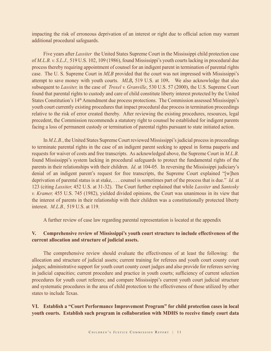impacting the risk of erroneous deprivation of an interest or right due to official action may warrant additional procedural safeguards.

Five years after *Lassiter* the United States Supreme Court in the Mississippi child protection case of *M.L.B. v. S.L.J.,* 519 U.S. 102, 109 (1986), found Mississippi's youth courts lacking in procedural due process thereby requiring appointment of counsel for an indigent parent in termination of parental rights case. The U. S. Supreme Court in *MLB* provided that the court was not impressed with Mississippi's attempt to save money with youth courts. *MLB,* 519 U.S. at 109**.** We also acknowledge that also subsequent to *Lassiter,* in the case of *Troxel v. Granville*, 530 U.S. 57 (2000), the U.S. Supreme Court found that parental rights to custody and care of child constitute liberty interest protected by the United States Constitution's 14<sup>th</sup> Amendment due process protections. The Commission assessed Mississippi's youth court currently existing procedures that impact procedural due process in termination proceedings relative to the risk of error created thereby. After reviewing the existing procedures, resources, legal precedent, the Commission recommends a statutory right to counsel be established for indigent parents facing a loss of permanent custody or termination of parental rights pursuant to state initiated action.

In *M.L.B.*, the United States Supreme Court reviewed Mississippi's judicial process in proceedings to terminate parental rights in the case of an indigent parent seeking to appeal in forma pauperis and requests for waiver of costs and free transcripts. As acknowledged above, the Supreme Court in *M.L.B.* found Mississippi's system lacking in procedural safeguards to protect the fundamental rights of the parents in their relationships with their children. *Id*. at 104-05. In reversing the Mississippi judiciary's denial of an indigent parent's request for free transcripts, the Supreme Court explained "[w]hen deprivation of parental status is at stake, . . . counsel is sometimes part of the process that is due." *Id.* at 123 (citing *Lassiter,* 452 U.S. at 31-32). The Court further explained that while *Lassiter* and *Santosky v. Kramer,* 455 U.S. 745 (1982), yielded divided opinions, the Court was unanimous in its view that the interest of parents in their relationship with their children was a constitutionally protected liberty interest. *M.L.B.,* 519 U.S. at 119.

A further review of case law regarding parental representation is located at the appendix

# **V. Comprehensive review of Mississippi's youth court structure to include effectiveness of the current allocation and structure of judicial assets.**

The comprehensive review should evaluate the effectiveness of at least the following: the allocation and structure of judicial assets; current training for referees and youth court county court judges; administrative support for youth court county court judges and also provide for referees serving in judicial capacities; current procedure and practice in youth courts; sufficiency of current selection procedures for youth court referees; and compare Mississippi's current youth court judicial structure and systematic procedures in the area of child protection to the effectiveness of those utilized by other states to include Texas.

# **VI. Establish a "Court Performance Improvement Program" for child protection cases in local youth courts. Establish such program in collaboration with MDHS to receive timely court data**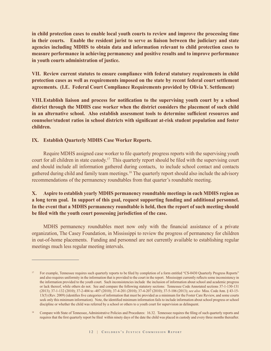**in child protection cases to enable local youth courts to review and improve the processing time in their courts. Enable the resident jurist to serve as liaison between the judiciary and state agencies including MDHS to obtain data and information relevant to child protection cases to measure performance in achieving permanency and positive results and to improve performance in youth courts administration of justice.** 

**VII. Review current statutes to ensure compliance with federal statutory requirements in child protection cases as well as requirements imposed on the state by recent federal court settlement agreements. (I.E. Federal Court Compliance Requirements provided by Olivia Y. Settlement)** 

**VIII.Establish liaison and process for notification to the supervising youth court by a school district through the MDHS case worker when the district considers the placement of such child in an alternative school. Also establish assessment tools to determine sufficient resources and counselor/student ratios in school districts with significant at-risk student population and foster children.** 

#### **IX. Establish Quarterly MDHS Case Worker Reports.**

Require MDHS assigned case worker to file quarterly progress reports with the supervising youth court for all children in state custody.<sup>17</sup> This quarterly report should be filed with the supervising court and should include all information gathered during contacts, to include school contact and contacts gathered during child and family team meetings.18 The quarterly report should also include the advisory recommendations of the permanency roundtables from that quarter's roundtable meeting.

# **X. Aspire to establish yearly MDHS permanency roundtable meetings in each MDHS region as a long term goal. In support of this goal, request supporting funding and additional personnel. In the event that a MDHS permanency roundtable is held, then the report of such meeting should be filed with the youth court possessing jurisdiction of the case.**

MDHS permanency roundtables meet now only with the financial assistance of a private organization, The Casey Foundation, in Mississippi to review the progress of permanency for children in out-of-home placements. Funding and personnel are not currently available to establishing regular meetings much less regular meeting intervals.

<sup>&</sup>lt;sup>17</sup> For example, Tennessee requires such quarterly reports to be filed by completion of a form entitled "CS-0430 Quarterly Progress Reports" and also requires uniformity in the information that is provided to the court in the report. Mississippi currently reflects some inconsistency in the information provided to the youth court. Such inconsistencies include the inclusion of information about school and academic progress or lack thereof, while others do not. See and compare the following statutory sections: Tennessee Code Annotated sections 37-1-130-131 (2013); 37-1-132 (2010); 37-2-404 to -407 (2010); 37-4-201 (2010); 37-4-207 (2010); 37-5-106 (2013); *see also* Miss. Code Ann. § 43-15- 13(5) (Rev. 2009) (identifies five categories of information that must be provided as a minimum for the Foster Care Review, and some courts seek only this minimum information). Note, the identified minimum information fails to include information about school progress or school discipline or whether the child was referred by a school or others to a youth court for supervision as delinquent.

<sup>&</sup>lt;sup>18</sup> Compare with State of Tennessee, Administrative Policies and Procedures: 16.32. Tennessee requires the filing of such quarterly reports and requires that the first quarterly report be filed within ninety days of the date the child was placed in custody and every three months thereafter.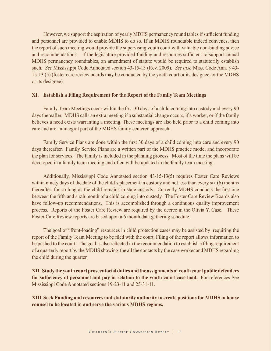However, we support the aspiration of yearly MDHS permanency round tables if sufficient funding and personnel are provided to enable MDHS to do so. If an MDHS roundtable indeed convenes, then the report of such meeting would provide the supervising youth court with valuable non-binding advice and recommendations. If the legislature provided funding and resources sufficient to support annual MDHS permanency roundtables, an amendment of statute would be required to statutorily establish such. *See* Mississippi Code Annotated section 43-15-13 (Rev. 2009). *See also* Miss. Code Ann. § 43- 15-13 (5) (foster care review boards may be conducted by the youth court or its designee, or the MDHS or its designee).

#### **XI. Establish a Filing Requirement for the Report of the Family Team Meetings**

Family Team Meetings occur within the first 30 days of a child coming into custody and every 90 days thereafter. MDHS calls an extra meeting if a substantial change occurs, if a worker, or if the family believes a need exists warranting a meeting. These meetings are also held prior to a child coming into care and are an integral part of the MDHS family centered approach.

Family Service Plans are done within the first 30 days of a child coming into care and every 90 days thereafter. Family Service Plans are a written part of the MDHS practice model and incorporate the plan for services. The family is included in the planning process. Most of the time the plans will be developed in a family team meeting and often will be updated in the family team meeting.

Additionally, Mississippi Code Annotated section 43-15-13(5) requires Foster Care Reviews within ninety days of the date of the child's placement in custody and not less than every six (6) months thereafter, for so long as the child remains in state custody. Currently MDHS conducts the first one between the fifth and sixth month of a child coming into custody. The Foster Care Review Boards also have follow-up recommendations. This is accomplished through a continuous quality improvement process. Reports of the Foster Care Review are required by the decree in the Olivia Y. Case. These Foster Care Review reports are based upon a 6 month data gathering schedule.

The goal of "front-loading" resources in child protection cases may be assisted by requiring the report of the Family Team Meeting to be filed with the court. Filing of the report allows information to be pushed to the court. The goal is also reflected in the recommendation to establish a filing requirement of a quarterly report by the MDHS showing the all the contacts by the case worker and MDHS regarding the child during the quarter.

**XII. Study the youth court prosecutorial duties and the assignments of youth court public defenders for sufficiency of personnel and pay in relation to the youth court case load.** For references See Mississippi Code Annotated sections 19-23-11 and 25-31-11.

**XIII. Seek Funding and resources and statutorily authority to create positions for MDHS in house counsel to be located in and serve the various MDHS regions.**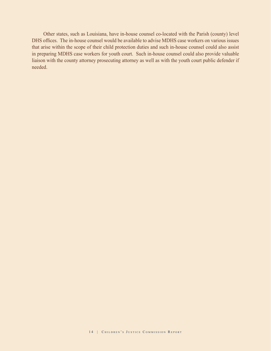Other states, such as Louisiana, have in-house counsel co-located with the Parish (county) level DHS offices. The in-house counsel would be available to advise MDHS case workers on various issues that arise within the scope of their child protection duties and such in-house counsel could also assist in preparing MDHS case workers for youth court. Such in-house counsel could also provide valuable liaison with the county attorney prosecuting attorney as well as with the youth court public defender if needed.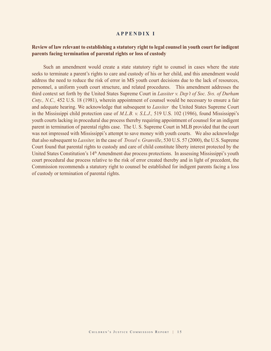#### **APPENDIX I**

#### **Review of law relevant to establishing a statutory right to legal counsel in youth court for indigent parents facing termination of parental rights or loss of custody**

Such an amendment would create a state statutory right to counsel in cases where the state seeks to terminate a parent's rights to care and custody of his or her child, and this amendment would address the need to reduce the risk of error in MS youth court decisions due to the lack of resources, personnel, a uniform youth court structure, and related procedures. This amendment addresses the third context set forth by the United States Supreme Court in *Lassiter v. Dep't of Soc. Svs. of Durham Cnty., N.C.,* 452 U.S. 18 (1981), wherein appointment of counsel would be necessary to ensure a fair and adequate hearing. We acknowledge that subsequent to *Lassiter* the United States Supreme Court in the Mississippi child protection case of *M.L.B. v. S.L.J.,* 519 U.S. 102 (1986), found Mississippi's youth courts lacking in procedural due process thereby requiring appointment of counsel for an indigent parent in termination of parental rights case. The U. S. Supreme Court in MLB provided that the court was not impressed with Mississippi's attempt to save money with youth courts. We also acknowledge that also subsequent to *Lassiter,* in the case of *Troxel v. Granville*, 530 U.S. 57 (2000), the U.S. Supreme Court found that parental rights to custody and care of child constitute liberty interest protected by the United States Constitution's 14th Amendment due process protections. In assessing Mississippi's youth court procedural due process relative to the risk of error created thereby and in light of precedent, the Commission recommends a statutory right to counsel be established for indigent parents facing a loss of custody or termination of parental rights.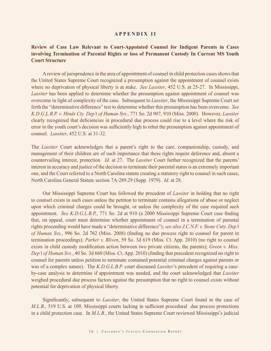#### **APPENDIX II**

### **Review of Case Law Relevant to Court-Appointed Counsel for Indigent Parents in Cases involving Termination of Parental Rights or loss of Permanent Custody In Current MS Youth Court Structure**

A review of jurisprudence in the area of appointment of counsel in child protection cases shows that the United States Supreme Court recognized a presumption against the appointment of counsel exists where no deprivation of physical liberty is at stake. *See Lassiter*, 452 U.S. at 25-27. In Mississippi, *Lassiter* has been applied to determine whether the presumption against appointment of counsel was overcome in light of complexity of the case. Subsequent to *Lassiter*, the Mississippi Supreme Court set forth the "determinative difference" test to determine whether this presumption has been overcome. *See K.D.G.L.B.P. v. Hinds Cty. Dep't of Human Svs.*, 771 So. 2d 907, 910 (Miss. 2000). However, *Lassiter* clearly recognized that deficiencies in procedural due process could rise to a level where the risk of error in the youth court's decision was sufficiently high to rebut the presumption against appointment of counsel. *Lassiter*, 452 U.S. at 31-32.

The *Lassiter* Court acknowledges that a parent's right to the care, companionship, custody, and management of their children are of such importance that these rights require deference and, absent a countervailing interest, protection. *Id*. at 27. The *Lassiter* Court further recognized that the parents' interest in accuracy and justice of the decision to terminate their parental status is an extremely important one, and the Court referred to a North Carolina statute creating a statutory right to counsel in such cases, North Carolina General Statute section 7A-289.29 (Supp. 1979). *Id.* at 28.

Our Mississippi Supreme Court has followed the precedent of *Lassiter* in holding that no right to counsel exists in such cases unless the petition to terminate contains allegations of abuse or neglect upon which criminal charges could be brought, or unless the complexity of the case required such appointment. *See K.D.G.L.B.P.*, 771 So. 2d at 910 (a 2000 Mississippi Supreme Court case finding that, on appeal, court must determine whether appointment of counsel in a termination of parental rights proceeding would have made a "determinative difference"); *see also J.C.N.F. v. Stone Cnty. Dep't of Human Svs.*, 996 So. 2d 762 (Miss. 2008) (finding no due process right to counsel for parent in termination proceedings); *Parker v. Bliven*, 59 So. 3d 619 (Miss. Ct. App. 2010) (no right to counsel exists in child custody modification action between two private citizens, the parents); *Green v. Miss. Dep't of Human Svs.*, 40 So. 3d 660 (Miss. Ct. App. 2010) (finding that precedent recognized no right to counsel for parents unless petition to terminate contained potential criminal charges against parents or was of a complex nature). The *K.D.G.L.B.P.* court discussed *Lassiter*'s precedent of requiring a caseby-case analysis to determine if appointment was needed, and the court acknowledged that *Lassiter* weighed procedural due process factors against the presumption that no right to counsel exists without potential for deprivation of physical liberty.

Significantly, subsequent to *Lassiter*, the United States Supreme Court found in the case of *M.L.B.*, 519 U.S. at 109, Mississippi courts lacking in sufficient procedural due process protections in a child protection case. In *M.L.B.*, the United States Supreme Court reviewed Mississippi's judicial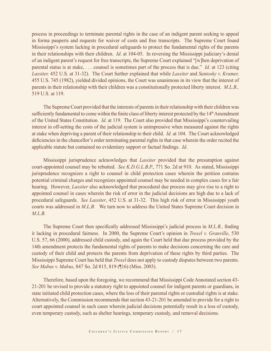process in proceedings to terminate parental rights in the case of an indigent parent seeking to appeal in forma pauperis and requests for waiver of costs and free transcripts. The Supreme Court found Mississippi's system lacking in procedural safeguards to protect the fundamental rights of the parents in their relationships with their children. *Id*. at 104-05. In reversing the Mississippi judiciary's denial of an indigent parent's request for free transcripts, the Supreme Court explained "[w]hen deprivation of parental status is at stake, . . . counsel is sometimes part of the process that is due." *Id.* at 123 (citing *Lassiter,* 452 U.S. at 31-32). The Court further explained that while *Lassiter* and *Santosky v. Kramer,*  455 U.S. 745 (1982), yielded divided opinions, the Court was unanimous in its view that the interest of parents in their relationship with their children was a constitutionally protected liberty interest. *M.L.B.,*  519 U.S. at 119.

The Supreme Court provided that the interests of parents in their relationship with their children was sufficiently fundamental to come within the finite class of liberty interest protected by the 14<sup>th</sup> Amendment of the United States Constitution. *Id*. at 119. The Court also provided that Mississippi's countervailing interest in off-setting the costs of the judicial system is unimpressive when measured against the rights at stake when depriving a parent of their relationship to their child. *Id.* at 104. The Court acknowledged deficiencies in the chancellor's order terminating parental rights in that case wherein the order recited the applicable statute but contained no evidentiary support or factual findings. *Id*.

Mississippi jurisprudence acknowledges that *Lassiter* provided that the presumption against court-appointed counsel may be rebutted. *See K.D.G.L.B.P.*, 771 So. 2d at 910. As stated, Mississippi jurisprudence recognizes a right to counsel in child protection cases wherein the petition contains potential criminal charges and recognizes appointed counsel may be needed in complex cases for a fair hearing. However, *Lassiter* also acknowledged that procedural due process may give rise to a right to appointed counsel in cases wherein the risk of error in the judicial decisions are high due to a lack of procedural safeguards. *See Lassiter*, 452 U.S. at 31-32. This high risk of error in Mississippi youth courts was addressed in *M.L.B.* We turn now to address the United States Supreme Court decision in *M.L.B.* 

The Supreme Court then specifically addressed Mississippi's judicial process in *M.L.B.,* finding it lacking in procedural fairness. In 2000, the Supreme Court's opinion in *Troxel v. Granville*, 530 U.S. 57, 66 (2000), addressed child custody, and again the Court held that due process provided by the 14th amendment protects the fundamental rights of parents to make decisions concerning the care and custody of their child and protects the parents from deprivation of these rights by third parties. The Mississippi Supreme Court has held that *Troxel* does not apply to custody disputes between two parents. *See Mabus v. Mabus*, 847 So. 2d 815, 819 (¶16) (Miss. 2003).

Therefore, based upon the foregoing, we recommend that Mississippi Code Annotated section 43- 21-201 be revised to provide a statutory right to appointed counsel for indigent parents or guardians, in state initiated child protection cases, where the loss of their parental rights or custodial rights is at stake. Alternatively, the Commission recommends that section 43-21-201 be amended to provide for a right to court appointed counsel in such cases wherein judicial decisions potentially result in a loss of custody, even temporary custody, such as shelter hearings, temporary custody, and removal decisions.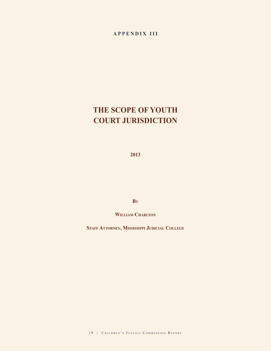# **APPENDIX III**

# **THE SCOPE OF YOUTH COURT JURISDICTION**

**2013**

**By**

WILLIAM CHARLTON

**Staff Attorney, Mississippi Judicial College**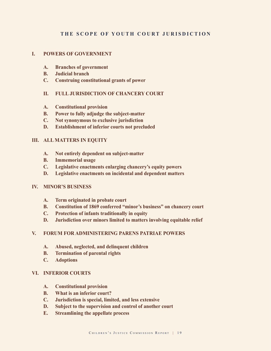# **THE SCOPE OF YOUTH COURT JURISDICTION**

#### **I. POWERS OF GOVERNMENT**

- **A. Branches of government**
- **B. Judicial branch**
- **C. Construing constitutional grants of power**

#### **II. FULL JURISDICTION OF CHANCERY COURT**

- **A. Constitutional provision**
- **B. Power to fully adjudge the subject-matter**
- **C. Not synonymous to exclusive jurisdiction**
- **D. Establishment of inferior courts not precluded**

#### **III. ALL MATTERS IN EQUITY**

- **A. Not entirely dependent on subject-matter**
- **B. Immemorial usage**
- **C. Legislative enactments enlarging chancery's equity powers**
- **D. Legislative enactments on incidental and dependent matters**

#### **IV. MINOR'S BUSINESS**

- **A. Term originated in probate court**
- **B. Constitution of 1869 conferred "minor's business" on chancery court**
- **C. Protection of infants traditionally in equity**
- **D. Jurisdiction over minors limited to matters involving equitable relief**

#### **V. FORUM FOR ADMINISTERING PARENS PATRIAE POWERS**

- **A. Abused, neglected, and delinquent children**
- **B. Termination of parental rights**
- **C. Adoptions**

#### **VI. INFERIOR COURTS**

- **A. Constitutional provision**
- **B. What is an inferior court?**
- **C. Jurisdiction is special, limited, and less extensive**
- **D. Subject to the supervision and control of another court**
- **E. Streamlining the appellate process**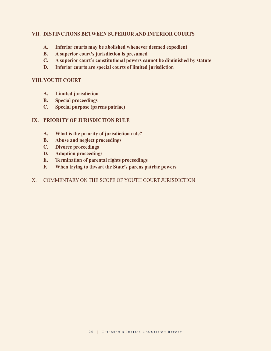#### **VII. DISTINCTIONS BETWEEN SUPERIOR AND INFERIOR COURTS**

- **A. Inferior courts may be abolished whenever deemed expedient**
- **B. A superior court's jurisdiction is presumed**
- **C. A superior court's constitutional powers cannot be diminished by statute**
- **D. Inferior courts are special courts of limited jurisdiction**

#### **VIII.YOUTH COURT**

- **A. Limited jurisdiction**
- **B. Special proceedings**
- **C. Special purpose (parens patriae)**

#### **IX. PRIORITY OF JURISDICTION RULE**

- **A. What is the priority of jurisdiction rule?**
- **B. Abuse and neglect proceedings**
- **C. Divorce proceedings**
- **D. Adoption proceedings**
- **E. Termination of parental rights proceedings**
- **F. When trying to thwart the State's parens patriae powers**
- X. COMMENTARY ON THE SCOPE OF YOUTH COURT JURISDICTION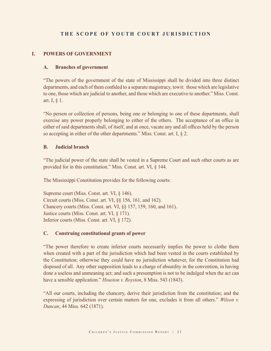# **THE SCOPE OF YOUTH COURT JURISDICTION**

#### **I. POWERS OF GOVERNMENT**

#### **A. Branches of government**

 "The powers of the government of the state of Mississippi shall be divided into three distinct departments, and each of them confided to a separate magistracy, towit: those which are legislative to one, those which are judicial to another, and those which are executive to another." Miss. Const. art. I, § 1.

 "No person or collection of persons, being one or belonging to one of these departments, shall exercise any power properly belonging to either of the others. The acceptance of an office in either of said departments shall, of itself, and at once, vacate any and all offices held by the person so accepting in either of the other departments." Miss. Const. art. I, § 2.

#### **B. Judicial branch**

 "The judicial power of the state shall be vested in a Supreme Court and such other courts as are provided for in this constitution." Miss. Const. art. VI, § 144.

The Mississippi Constitution provides for the following courts:

Supreme court (Miss. Const. art. VI, § 146). Circuit courts (Miss. Const. art. VI, §§ 156, 161, and 162). Chancery courts (Miss. Const. art. VI, §§ 157, 159, 160, and 161). Justice courts (Miss. Const. art. VI, § 171). Inferior courts (Miss. Const. art. VI, § 172).

#### **C. Construing constitutional grants of power**

 "The power therefore to create inferior courts necessarily implies the power to clothe them when created with a part of the jurisdiction which had been vested in the courts established by the Constitution; otherwise they could have no jurisdiction whatever, for the Constitution had disposed of all. Any other supposition leads to a charge of absurdity in the convention, in having done a useless and unmeaning act; and such a presumption is not to be indulged when the act can have a sensible application." *Houston v. Royston*, 8 Miss. 543 (1843).

 "All our courts, including the chancery, derive their jurisdiction from the constitution; and the expressing of jurisdiction over certain matters for one, excludes it from all others." *Wilson v. Duncan*, 44 Miss. 642 (1871).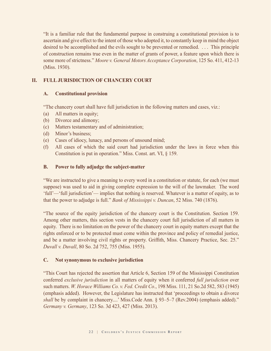"It is a familiar rule that the fundamental purpose in construing a constitutional provision is to ascertain and give effect to the intent of those who adopted it, to constantly keep in mind the object desired to be accomplished and the evils sought to be prevented or remedied. . . . This principle of construction remains true even in the matter of grants of power, a feature upon which there is some more of strictness." *Moore v. General Motors Acceptance Corporation*, 125 So. 411, 412-13 (Miss. 1930).

# **II. FULL JURISDICTION OF CHANCERY COURT**

# **A. Constitutional provision**

"The chancery court shall have full jurisdiction in the following matters and cases, viz.:

- (a) All matters in equity;
- (b) Divorce and alimony;
- (c) Matters testamentary and of administration;
- (d) Minor's business;
- (e) Cases of idiocy, lunacy, and persons of unsound mind;
- (f) All cases of which the said court had jurisdiction under the laws in force when this Constitution is put in operation." Miss. Const. art. VI, § 159.

# **B. Power to fully adjudge the subject-matter**

 "We are instructed to give a meaning to every word in a constitution or statute, for each (we must suppose) was used to aid in giving complete expression to the will of the lawmaker. The word 'full'—'full jurisdiction'— implies that nothing is reserved. Whatever is a matter of equity, as to that the power to adjudge is full." *Bank of Mississippi v. Duncan*, 52 Miss. 740 (1876).

 "The source of the equity jurisdiction of the chancery court is the Constitution. Section 159. Among other matters, this section vests in the chancery court full jurisdiction of all matters in equity. There is no limitation on the power of the chancery court in equity matters except that the rights enforced or to be protected must come within the province and policy of remedial justice, and be a matter involving civil rights or property. Griffith, Miss. Chancery Practice, Sec. 25." *Duvall v. Duvall*, 80 So. 2d 752, 755 (Miss. 1955).

# **C. Not synonymous to exclusive jurisdiction**

 "This Court has rejected the assertion that Article 6, Section 159 of the Mississippi Constitution conferred *exclusive jurisdiction* in all matters of equity when it conferred *full jurisdiction* over such matters. *W. Horace Williams Co. v. Fed. Credit Co.*, 198 Miss. 111, 21 So.2d 582, 583 (1945) (emphasis added). However, the Legislature has instructed that 'proceedings to obtain a divorce shall be by complaint in chancery....' Miss.Code Ann. § 93-5-7 (Rev.2004) (emphasis added)." *Germany v. Germany*, 123 So. 3d 423, 427 (Miss. 2013).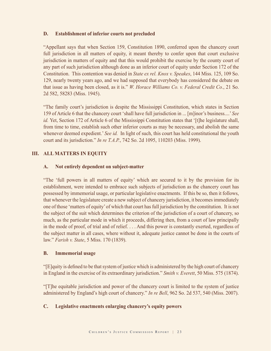#### **D. Establishment of inferior courts not precluded**

 "Appellant says that when Section 159, Constitution 1890, conferred upon the chancery court full jurisdiction in all matters of equity, it meant thereby to confer upon that court exclusive jurisdiction in matters of equity and that this would prohibit the exercise by the county court of any part of such jurisdiction although done as an inferior court of equity under Section 172 of the Constitution. This contention was denied in *State ex rel. Knox v. Speakes*, 144 Miss. 125, 109 So. 129, nearly twenty years ago, and we had supposed that everybody has considered the debate on that issue as having been closed, as it is." *W. Horace Williams Co. v. Federal Credit Co.*, 21 So. 2d 582, 58283 (Miss. 1945).

 "The family court's jurisdiction is despite the Mississippi Constitution, which states in Section 159 of Article 6 that the chancery court 'shall have full jurisdiction in ... [m]inor's business....' *See id.* Yet, Section 172 of Article 6 of the Mississippi Constitution states that '[t]he legislature shall, from time to time, establish such other inferior courts as may be necessary, and abolish the same whenever deemed expedient.' *See id.* In light of such, this court has held constitutional the youth court and its jurisdiction." *In re T.A.P.*, 742 So. 2d 1095, 110203 (Miss. 1999).

#### **III. ALL MATTERS IN EQUITY**

#### **A. Not entirely dependent on subject-matter**

 "The 'full powers in all matters of equity' which are secured to it by the provision for its establishment, were intended to embrace such subjects of jurisdiction as the chancery court has possessed by immemorial usage, or particular legislative enactments. If this be so, then it follows, that whenever the legislature create a new subject of chancery jurisdiction, it becomes immediately one of those 'matters of equity' of which that court has full jurisdiction by the constitution. It is not the subject of the suit which determines the criterion of the jurisdiction of a court of chancery, so much, as the particular mode in which it proceeds, differing then, from a court of law principally in the mode of proof, of trial and of relief. . . . And this power is constantly exerted, regardless of the subject matter in all cases, where without it, adequate justice cannot be done in the courts of law." *Farish v. State*, 5 Miss. 170 (1839).

#### **B. Immemorial usage**

"[E]quity is defined to be that system of justice which is administered by the high court of chancery in England in the exercise of its extraordinary jurisdiction." *Smith v. Everett*, 50 Miss. 575 (1874).

 "[T]he equitable jurisdiction and power of the chancery court is limited to the system of justice administered by England's high court of chancery." *In re Bell*, 962 So. 2d 537, 540 (Miss. 2007).

#### **C. Legislative enactments enlarging chancery's equity powers**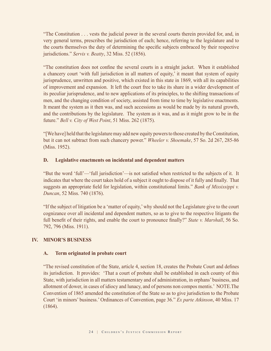"The Constitution . . . vests the judicial power in the several courts therein provided for, and, in very general terms, prescribes the jurisdiction of each; hence, referring to the legislature and to the courts themselves the duty of determining the specific subjects embraced by their respective jurisdictions." *Servis v. Beatty*, 32 Miss. 52 (1856).

 "The constitution does not confine the several courts in a straight jacket. When it established a chancery court 'with full jurisdiction in all matters of equity,' it meant that system of equity jurisprudence, unwritten and positive, which existed in this state in 1869, with all its capabilities of improvement and expansion. It left the court free to take its share in a wider development of its peculiar jurisprudence, and to new applications of its principles, to the shifting transactions of men, and the changing condition of society, assisted from time to time by legislative enactments. It meant the system as it then was, and such accessions as would be made by its natural growth, and the contributions by the legislature. The system as it was, and as it might grow to be in the future." *Bell v. City of West Point*, 51 Miss. 262 (1875).

 "[We have] held that the legislature may add new equity powers to those created by the Constitution, but it can not subtract from such chancery power." *Wheeler v. Shoemake*, 57 So. 2d 267, 285-86 (Miss. 1952).

#### **D. Legislative enactments on incidental and dependent matters**

"But the word 'full'—'full jurisdiction'—is not satisfied when restricted to the subjects of it. It indicates that where the court takes hold of a subject it ought to dispose of it fully and finally. That suggests an appropriate field for legislation, within constitutional limits." *Bank of Mississippi v. Duncan*, 52 Miss. 740 (1876).

 "If the subject of litigation be a 'matter of equity,' why should not the Legislature give to the court cognizance over all incidental and dependent matters, so as to give to the respective litigants the full benefit of their rights, and enable the court to pronounce finally?" *State v. Marshall*, 56 So. 792, 796 (Miss. 1911).

#### **IV. MINOR'S BUSINESS**

#### **A. Term originated in probate court**

"The revised constitution of the State, article 4, section 18, creates the Probate Court and defines its jurisdiction. It provides: 'That a court of probate shall be established in each county of this State, with jurisdiction in all matters testamentary and of administration, in orphans' business, and allotment of dower, in cases of idiocy and lunacy, and of persons non compos mentis.' NOTE.The Convention of 1865 amended the constitution of the State so as to give jurisdiction to the Probate Court 'in minors' business.' Ordinances of Convention, page 36." *Ex parte Atkinson*, 40 Miss. 17 (1864).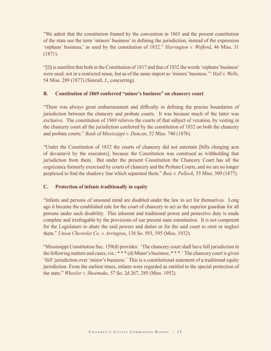"We admit that the constitution framed by the convention in 1865 and the present constitution of the state use the term 'minors' business' in defining the jurisdiction, instead of the expression 'orphans' business,' as used by the constitution of 1832." *Harrington v. Wofford*, 46 Miss. 31 (1871).

 "[I]t is manifest that both in the Constitution of 1817 and that of 1832 the words 'orphans' business' were used, not in a restricted sense, but as of the same import as 'minors' business.'" *Hall v. Wells*, 54 Miss. 289 (1877) (Simrall, J., concurring).

#### **B. Constitution of 1869 conferred "minor's business" on chancery court**

"There was always great embarrassment and difficulty in defining the precise boundaries of jurisdiction between the chancery and probate courts. It was because much of the latter was exclusive. The constitution of 1869 relieves the courts of that subject of vexation, by vesting in the chancery court all the jurisdiction conferred by the constitution of 1832 on both the chancery and probate courts." *Bank of Mississippi v. Duncan*, 52 Miss. 740 (1876).

 "Under the Constitution of 1832 the courts of chancery did not entertain [bills charging acts of devastavit by the executors], because the Constitution was construed as withholding that jurisdiction from them. But under the present Constitution the Chancery Court has all the cognizance formerly exercised by courts of chancery and the Probate Courts, and we are no longer perplexed to find the shadowy line which separated them." *Buie v. Pollock*, 55 Miss. 309 (1877).

# **C. Protection of infants traditionally in equity**

 "Infants and persons of unsound mind are disabled under the law to act for themselves. Long ago it became the established rule for the court of chancery to act as the superior guardian for all persons under such disability. This inherent and traditional power and protective duty is made complete and irrefragable by the provisions of our present state constitution. It is not competent for the Legislature to abate the said powers and duties or for the said court to omit or neglect them." *Union Chevrolet Co. v. Arrington*, 138 So. 593, 595 (Miss. 1932).

 "Mississippi Constitution Sec. 159(d) provides: 'The chancery court shall have full jurisdiction in the following matters and cases, viz.: \* \* \* (d) Minor's business; \* \* \*.' The chancery court is given 'full' jurisdiction over 'minor's business.' This is a constitutional statement of a traditional equity jurisdiction. From the earliest times, infants were regarded as entitled to the special protection of the state." *Wheeler v. Shoemake*, 57 So. 2d 267, 285 (Miss. 1952).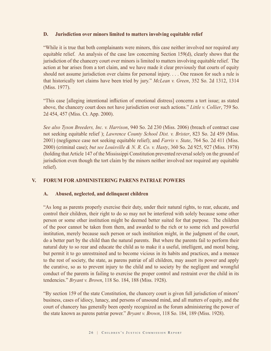#### **D. Jurisdiction over minors limited to matters involving equitable relief**

 "While it is true that both complainants were minors, this case neither involved nor required any equitable relief. An analysis of the case law concerning Section 159(d), clearly shows that the jurisdiction of the chancery court over minors is limited to matters involving equitable relief. The action at bar arises from a tort claim, and we have made it clear previously that courts of equity should not assume jurisdiction over claims for personal injury. . . . One reason for such a rule is that historically tort claims have been tried by jury." *McLean v. Green*, 352 So. 2d 1312, 1314 (Miss. 1977).

"This case [alleging intentional infliction of emotional distress] concerns a tort issue; as stated above, the chancery court does not have jurisdiction over such actions." *Little v. Collier*, 759 So. 2d 454, 457 (Miss. Ct. App. 2000).

 *See also Tyson Breeders, Inc. v. Harrison*, 940 So. 2d 230 (Miss. 2006) (breach of contract case not seeking equitable relief ); *Lawrence County School Dist. v. Brister*, 823 So. 2d 459 (Miss. 2001) (negligence case not seeking equitable relief); and *Farris v. State*, 764 So. 2d 411 (Miss. 2000) (criminal case); *but see Louisville & N. R. Co. v. Hasty*, 360 So. 2d 925, 927 (Miss. 1978) (holding that Article 147 of the Mississippi Constitution prevented reversal solely on the ground of jurisdiction even though the tort claim by the minors neither involved nor required any equitable relief).

#### **V. FORUM FOR ADMINISTERING PARENS PATRIAE POWERS**

#### **A. Abused, neglected, and delinquent children**

 "As long as parents properly exercise their duty, under their natural rights, to rear, educate, and control their children, their right to do so may not be interfered with solely because some other person or some other institution might be deemed better suited for that purpose. The children of the poor cannot be taken from them, and awarded to the rich or to some rich and powerful institution, merely because such person or such institution might, in the judgment of the court, do a better part by the child than the natural parents. But where the parents fail to perform their natural duty to so rear and educate the child as to make it a useful, intelligent, and moral being, but permit it to go unrestrained and to become vicious in its habits and practices, and a menace to the rest of society, the state, as parens patriæ of all children, may assert its power and apply the curative, so as to prevent injury to the child and to society by the negligent and wrongful conduct of the parents in failing to exercise the proper control and restraint over the child in its tendencies." *Bryant v. Brown*, 118 So. 184, 188 (Miss. 1928).

 "By section 159 of the state Constitution, the chancery court is given full jurisdiction of minors' business, cases of idiocy, lunacy, and persons of unsound mind, and all matters of equity, and the court of chancery has generally been openly recognized as the forum administering the power of the state known as parens patriæ power." *Bryant v. Brown*, 118 So. 184, 189 (Miss. 1928).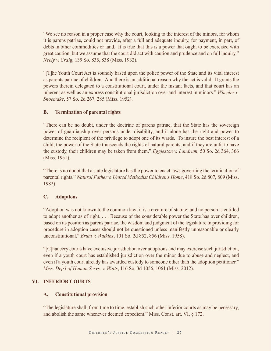"We see no reason in a proper case why the court, looking to the interest of the minors, for whom it is parens patriae, could not provide, after a full and adequate inquiry, for payment, in part, of debts in other commodities or land. It is true that this is a power that ought to be exercised with great caution, but we assume that the court did act with caution and prudence and on full inquiry." *Neely v. Craig*, 139 So. 835, 838 (Miss. 1932).

 "[T]he Youth Court Act is soundly based upon the police power of the State and its vital interest as parents patriae of children. And there is an additional reason why the act is valid. It grants the powers therein delegated to a constitutional court, under the instant facts, and that court has an inherent as well as an express constitutional jurisdiction over and interest in minors." *Wheeler v. Shoemake*, 57 So. 2d 267, 285 (Miss. 1952).

# **B. Termination of parental rights**

 "There can be no doubt, under the doctrine of parens patriae, that the State has the sovereign power of guardianship over persons under disability, and it alone has the right and power to determine the recipient of the privilege to adopt one of its wards. To insure the best interest of a child, the power of the State transcends the rights of natural parents; and if they are unfit to have the custody, their children may be taken from them." *Eggleston v. Landrum*, 50 So. 2d 364, 366 (Miss. 1951).

 "There is no doubt that a state legislature has the power to enact laws governing the termination of parental rights." *Natural Father v. United Methodist Children's Home*, 418 So. 2d 807, 809 (Miss. 1982)

# **C. Adoptions**

 "Adoption was not known to the common law; it is a creature of statute; and no person is entitled to adopt another as of right. . . . Because of the considerable power the State has over children, based on its position as parens patriae, the wisdom and judgment of the legislature in providing for procedure in adoption cases should not be questioned unless manifestly unreasonable or clearly unconstitutional." *Brunt v. Watkins*, 101 So. 2d 852, 856 (Miss. 1958).

 "[C]hancery courts have exclusive jurisdiction over adoptions and may exercise such jurisdiction, even if a youth court has established jurisdiction over the minor due to abuse and neglect, and even if a youth court already has awarded custody to someone other than the adoption petitioner." *Miss. Dep't of Human Servs. v. Watts*, 116 So. 3d 1056, 1061 (Miss. 2012).

# **VI. INFERIOR COURTS**

#### **A. Constitutional provision**

 "The legislature shall, from time to time, establish such other inferior courts as may be necessary, and abolish the same whenever deemed expedient." Miss. Const. art. VI, § 172.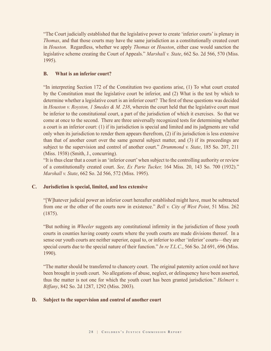"The Court judicially established that the legislative power to create 'inferior courts' is plenary in *Thomas*, and that those courts may have the same jurisdiction as a constitutionally created court in *Houston*. Regardless, whether we apply *Thomas* or *Houston*, either case would sanction the legislative scheme creating the Court of Appeals." *Marshall v. State*, 662 So. 2d 566, 570 (Miss. 1995).

#### **B. What is an inferior court?**

 "In interpreting Section 172 of the Constitution two questions arise, (1) To what court created by the Constitution must the legislative court be inferior, and (2) What is the test by which to determine whether a legislative court is an inferior court? The first of these questions was decided in *Houston v. Royston, 1 Smedes & M. 238*, wherein the court held that the legislative court must be inferior to the constitutional court, a part of the jurisdiction of which it exercises. So that we come at once to the second. There are three universally recognized tests for determining whether a court is an inferior court: (1) if its jurisdiction is special and limited and its judgments are valid only when its jurisdiction to render them appears therefrom, (2) if its jurisdiction is less extensive than that of another court over the same general subject matter, and (3) if its proceedings are subject to the supervision and control of another court." *Drummond v. State*, 185 So. 207, 211 (Miss. 1938) (Smith, J., concurring).

"It is thus clear that a court is an 'inferior court' when subject to the controlling authority or review of a constitutionally created court. *See, Ex Parte Tucker,* 164 Miss. 20, 143 So. 700 (1932)." *Marshall v. State*, 662 So. 2d 566, 572 (Miss. 1995).

#### **C. Jurisdiction is special, limited, and less extensive**

 "[W]hatever judicial power an inferior court hereafter established might have, must be subtracted from one or the other of the courts now in existence." *Bell v. City of West Point*, 51 Miss. 262 (1875).

 "But nothing in *Wheeler* suggests any constitutional infirmity in the jurisdiction of those youth courts in counties having county courts where the youth courts are made divisions thereof. In a sense our youth courts are neither superior, equal to, or inferior to other 'inferior' courts—they are special courts due to the special nature of their function." *In re T.L.C.*, 566 So. 2d 691, 696 (Miss. 1990).

 "The matter should be transferred to chancery court. The original paternity action could not have been brought in youth court. No allegations of abuse, neglect, or delinquency have been asserted, thus the matter is not one for which the youth court has been granted jurisdiction." *Helmert v. Biffany*, 842 So. 2d 1287, 1292 (Miss. 2003).

#### **D. Subject to the supervision and control of another court**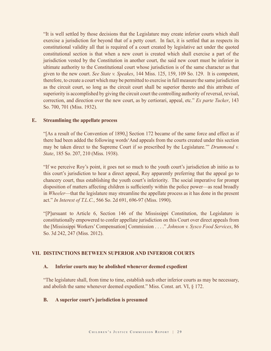"It is well settled by those decisions that the Legislature may create inferior courts which shall exercise a jurisdiction for beyond that of a petty court. In fact, it is settled that as respects its constitutional validity all that is required of a court created by legislative act under the quoted constitutional section is that when a new court is created which shall exercise a part of the jurisdiction vested by the Constitution in another court, the said new court must be inferior in ultimate authority to the Constitutional court whose jurisdiction is of the same character as that given to the new court. *See State v. Speakes*, 144 Miss. 125, 159, 109 So. 129. It is competent, therefore, to create a court which may be permitted to exercise in full measure the same jurisdiction as the circuit court, so long as the circuit court shall be superior thereto and this attribute of superiority is accomplished by giving the circuit court the controlling authority of reversal, revisal, correction, and direction over the new court, as by certiorari, appeal, etc." *Ex parte Tucker*, 143 So. 700, 701 (Miss. 1932).

#### **E. Streamlining the appellate process**

 "[As a result of the Convention of 1890,] Section 172 became of the same force and effect as if there had been added the following words'And appeals from the courts created under this section may be taken direct to the Supreme Court if so prescribed by the Legislature.'" *Drummond v. State*, 185 So. 207, 210 (Miss. 1938).

 "If we perceive Roy's point, it goes not so much to the youth court's jurisdiction ab initio as to this court's jurisdiction to hear a direct appeal, Roy apparently preferring that the appeal go to chancery court, thus establishing the youth court's inferiority. The social imperative for prompt disposition of matters affecting children is sufficiently within the police power—as read broadly in *Wheeler*—that the legislature may streamline the appellate process as it has done in the present act." *In Interest of T.L.C.*, 566 So. 2d 691, 696-97 (Miss. 1990).

 "[P]ursuant to Article 6, Section 146 of the Mississippi Constitution, the Legislature is constitutionally empowered to confer appellate jurisdiction on this Court over direct appeals from the [Mississippi Workers' Compensation] Commission . . . ." *Johnson v. Sysco Food Services*, 86 So. 3d 242, 247 (Miss. 2012).

## **VII. DISTINCTIONS BETWEEN SUPERIOR AND INFERIOR COURTS**

#### **A. Inferior courts may be abolished whenever deemed expedient**

 "The legislature shall, from time to time, establish such other inferior courts as may be necessary, and abolish the same whenever deemed expedient." Miss. Const. art. VI, § 172.

#### **B. A superior court's jurisdiction is presumed**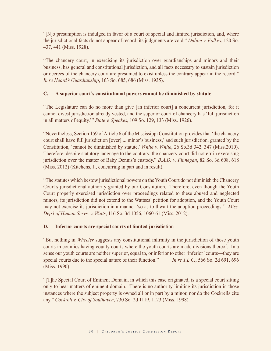"[N]o presumption is indulged in favor of a court of special and limited jurisdiction, and, where the jurisdictional facts do not appear of record, its judgments are void." *Dulion v. Folkes*, 120 So. 437, 441 (Miss. 1928).

 "The chancery court, in exercising its jurisdiction over guardianships and minors and their business, has general and constitutional jurisdiction, and all facts necessary to sustain jurisdiction or decrees of the chancery court are presumed to exist unless the contrary appear in the record." *In re Heard's Guardianship*, 163 So. 685, 686 (Miss. 1935).

# **C. A superior court's constitutional powers cannot be diminished by statute**

 "The Legislature can do no more than give [an inferior court] a concurrent jurisdiction, for it cannot divest jurisdiction already vested, and the superior court of chancery has 'full jurisdiction in all matters of equity.'" *State v. Speakes*, 109 So. 129, 133 (Miss. 1926).

 "Nevertheless, Section 159 of Article 6 of the Mississippi Constitution provides that 'the chancery court shall have full jurisdiction [over] ... minor's business,' and such jurisdiction, granted by the Constitution, 'cannot be diminished by statute.' *White v. White*, 26 So.3d 342, 347 (Miss.2010). Therefore, despite statutory language to the contrary, the chancery court did not err in exercising jurisdiction over the matter of Baby Dennis's custody." *B.A.D. v. Finnegan*, 82 So. 3d 608, 618 (Miss. 2012) (Kitchens, J., concurring in part and in result).

 "The statutes which bestow jurisdictional powers on the Youth Court do not diminish the Chancery Court's jurisdictional authority granted by our Constitution. Therefore, even though the Youth Court properly exercised jurisdiction over proceedings related to these abused and neglected minors, its jurisdiction did not extend to the Wattses' petition for adoption, and the Youth Court may not exercise its jurisdiction in a manner 'so as to thwart the adoption proceedings.'" *Miss. Dep't of Human Servs. v. Watts*, 116 So. 3d 1056, 1060-61 (Miss. 2012).

#### **D. Inferior courts are special courts of limited jurisdiction**

 "But nothing in *Wheeler* suggests any constitutional infirmity in the jurisdiction of those youth courts in counties having county courts where the youth courts are made divisions thereof. In a sense our youth courts are neither superior, equal to, or inferior to other 'inferior' courts—they are special courts due to the special nature of their function." *In re T.L.C.*, 566 So. 2d 691, 696 (Miss. 1990).

 "[T]he Special Court of Eminent Domain, in which this case originated, is a special court sitting only to hear matters of eminent domain. There is no authority limiting its jurisdiction in those instances where the subject property is owned all or in part by a minor, nor do the Cockrells cite any." *Cockrell v. City of Southaven*, 730 So. 2d 1119, 1123 (Miss. 1998).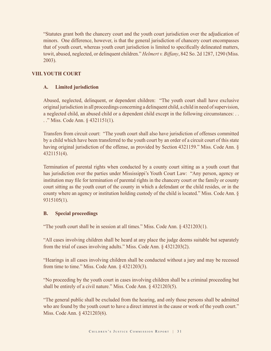"Statutes grant both the chancery court and the youth court jurisdiction over the adjudication of minors. One difference, however, is that the general jurisdiction of chancery court encompasses that of youth court, whereas youth court jurisdiction is limited to specifically delineated matters, towit, abused, neglected, or delinquent children." *Helmert v. Biffany*, 842 So. 2d 1287, 1290 (Miss. 2003).

# **VIII. YOUTH COURT**

# **A. Limited jurisdiction**

 Abused, neglected, delinquent, or dependent children: "The youth court shall have exclusive original jurisdiction in all proceedings concerning a delinquent child, a child in need of supervision, a neglected child, an abused child or a dependent child except in the following circumstances: . . . ." Miss. Code Ann. § 4321151(1).

 Transfers from circuit court: "The youth court shall also have jurisdiction of offenses committed by a child which have been transferred to the youth court by an order of a circuit court of this state having original jurisdiction of the offense, as provided by Section 4321159." Miss. Code Ann. § 4321151(4).

 Termination of parental rights when conducted by a county court sitting as a youth court that has jurisdiction over the parties under Mississippi's Youth Court Law: "Any person, agency or institution may file for termination of parental rights in the chancery court or the family or county court sitting as the youth court of the county in which a defendant or the child resides, or in the county where an agency or institution holding custody of the child is located." Miss. Code Ann. § 9315105(1).

#### **B. Special proceedings**

"The youth court shall be in session at all times." Miss. Code Ann. § 4321203(1).

 "All cases involving children shall be heard at any place the judge deems suitable but separately from the trial of cases involving adults." Miss. Code Ann. § 4321203(2).

 "Hearings in all cases involving children shall be conducted without a jury and may be recessed from time to time." Miss. Code Ann. § 4321203(3).

 "No proceeding by the youth court in cases involving children shall be a criminal proceeding but shall be entirely of a civil nature." Miss. Code Ann. § 4321203(5).

 "The general public shall be excluded from the hearing, and only those persons shall be admitted who are found by the youth court to have a direct interest in the cause or work of the youth court." Miss. Code Ann. § 4321203(6).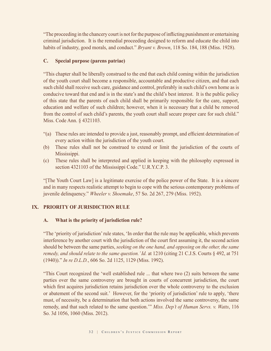"The proceeding in the chancery court is not for the purpose of inflicting punishment or entertaining criminal jurisdiction. It is the remedial proceeding designed to reform and educate the child into habits of industry, good morals, and conduct." *Bryant v. Brown*, 118 So. 184, 188 (Miss. 1928).

## **C. Special purpose (parens patriae)**

 "This chapter shall be liberally construed to the end that each child coming within the jurisdiction of the youth court shall become a responsible, accountable and productive citizen, and that each such child shall receive such care, guidance and control, preferably in such child's own home as is conducive toward that end and is in the state's and the child's best interest. It is the public policy of this state that the parents of each child shall be primarily responsible for the care, support, education and welfare of such children; however, when it is necessary that a child be removed from the control of such child's parents, the youth court shall secure proper care for such child." Miss. Code Ann. § 4321103.

- "(a) These rules are intended to provide a just, reasonably prompt, and efficient determination of every action within the jurisdiction of the youth court.
- (b) These rules shall not be construed to extend or limit the jurisdiction of the courts of Mississippi.
- (c) These rules shall be interpreted and applied in keeping with the philosophy expressed in section 4321103 of the Mississippi Code." U.R.Y.C.P. 3.

 "[The Youth Court Law] is a legitimate exercise of the police power of the State. It is a sincere and in many respects realistic attempt to begin to cope with the serious contemporary problems of juvenile delinquency." *Wheeler v. Shoemake*, 57 So. 2d 267, 279 (Miss. 1952).

#### **IX. PRIORITY OF JURISDICTION RULE**

#### **A. What is the priority of jurisdiction rule?**

 "The 'priority of jurisdiction' rule states, 'In order that the rule may be applicable, which prevents interference by another court with the jurisdiction of the court first assuming it, the second action should be between the same parties, *seeking on the one hand, and opposing on the other, the same remedy, and should relate to the same question.' Id.* at 1210 (citing 21 C.J.S. Courts § 492, at 751 (1940))." *In re D.L.D.*, 606 So. 2d 1125, 1129 (Miss. 1992).

 "This Court recognized the 'well established rule ... that where two (2) suits between the same parties over the same controversy are brought in courts of concurrent jurisdiction, the court which first acquires jurisdiction retains jurisdiction over the whole controversy to the exclusion or abatement of the second suit.' However, for the 'priority of jurisdiction' rule to apply, 'there must, of necessity, be a determination that both actions involved the same controversy, the same remedy, and that such related to the same question.'" *Miss. Dep't of Human Servs. v. Watts*, 116 So. 3d 1056, 1060 (Miss. 2012).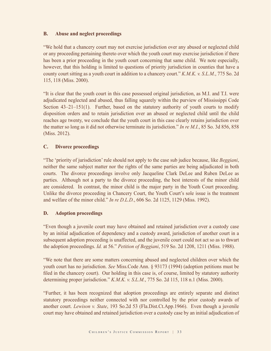## **B. Abuse and neglect proceedings**

 "We hold that a chancery court may not exercise jurisdiction over any abused or neglected child or any proceeding pertaining thereto over which the youth court may exercise jurisdiction if there has been a prior proceeding in the youth court concerning that same child. We note especially, however, that this holding is limited to questions of priority jurisdiction in counties that have a county court sitting as a youth court in addition to a chancery court." *K.M.K. v. S.L.M.*, 775 So. 2d 115, 118 (Miss. 2000).

 "It is clear that the youth court in this case possessed original jurisdiction, as M.I. and T.I. were adjudicated neglected and abused, thus falling squarely within the purview of Mississippi Code Section  $43-21-151(1)$ . Further, based on the statutory authority of youth courts to modify disposition orders and to retain jurisdiction over an abused or neglected child until the child reaches age twenty, we conclude that the youth court in this case clearly retains jurisdiction over the matter so long as it did not otherwise terminate its jurisdiction." *In re M.I.*, 85 So. 3d 856, 858 (Miss. 2012).

# **C. Divorce proceedings**

 "The 'priority of jurisdiction' rule should not apply to the case sub judice because, like *Beggiani*, neither the same subject matter nor the rights of the same parties are being adjudicated in both courts. The divorce proceedings involve only Jacqueline Clark DeLee and Ruben DeLee as parties. Although not a party to the divorce proceeding, the best interests of the minor child are considered. In contrast, the minor child is the major party in the Youth Court proceeding. Unlike the divorce proceeding in Chancery Court, the Youth Court's sole issue is the treatment and welfare of the minor child." *In re D.L.D.*, 606 So. 2d 1125, 1129 (Miss. 1992).

#### **D. Adoption proceedings**

 "Even though a juvenile court may have obtained and retained jurisdiction over a custody case by an initial adjudication of dependency and a custody award, jurisdiction of another court in a subsequent adoption proceeding is unaffected, and the juvenile court could not act so as to thwart the adoption proceedings. *Id.* at 56." *Petition of Beggiani*, 519 So. 2d 1208, 1211 (Miss. 1988).

 "We note that there are some matters concerning abused and neglected children over which the youth court has no jurisdiction. *See* Miss.Code Ann. § 93173 (1994) (adoption petitions must be filed in the chancery court). Our holding in this case is, of course, limited by statutory authority determining proper jurisdiction." *K.M.K. v. S.L.M.*, 775 So. 2d 115, 118 n.1 (Miss. 2000).

 "Further, it has been recognized that adoption proceedings are entirely separate and distinct statutory proceedings neither connected with nor controlled by the prior custody awards of another court. *Lewison v. State*, 193 So.2d 53 (Fla.Dist.Ct.App.1966). Even though a juvenile court may have obtained and retained jurisdiction over a custody case by an initial adjudication of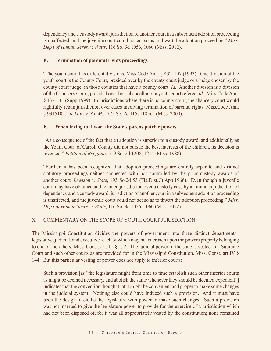dependency and a custody award, jurisdiction of another court in a subsequent adoption proceeding is unaffected, and the juvenile court could not act so as to thwart the adoption proceeding." *Miss. Dep't of Human Servs. v. Watts*, 116 So. 3d 1056, 1060 (Miss. 2012).

# **E. Termination of parental rights proceedings**

 "The youth court has different divisions. Miss.Code Ann. § 4321107 (1993). One division of the youth court is the County Court, presided over by the county court judge or a judge chosen by the county court judge, in those counties that have a county court. *Id.* Another division is a division of the Chancery Court, presided over by a chancellor or a youth court referee. *Id.*; Miss.Code Ann. § 4321111 (Supp.1999). In jurisdictions where there is no county court, the chancery court would rightfully retain jurisdiction over cases involving termination of parental rights. Miss.Code Ann. § 9315105." *K.M.K. v. S.L.M.*, 775 So. 2d 115, 118 n.2 (Miss. 2000).

# **F. When trying to thwart the State's parens patriae powers**

 "As a consequence of the fact that an adoption is superior to a custody award, and additionally as the Youth Court of Carroll County did not pursue the best interests of the children, its decision is reversed." *Petition of Beggiani*, 519 So. 2d 1208, 1214 (Miss. 1988).

 "Further, it has been recognized that adoption proceedings are entirely separate and distinct statutory proceedings neither connected with nor controlled by the prior custody awards of another court. *Lewison v. State*, 193 So.2d 53 (Fla.Dist.Ct.App.1966). Even though a juvenile court may have obtained and retained jurisdiction over a custody case by an initial adjudication of dependency and a custody award, jurisdiction of another court in a subsequent adoption proceeding is unaffected, and the juvenile court could not act so as to thwart the adoption proceeding." *Miss. Dep't of Human Servs. v. Watts*, 116 So. 3d 1056, 1060 (Miss. 2012).

#### X. COMMENTARY ON THE SCOPE OF YOUTH COURT JURISDICTION

The Mississippi Constitution divides the powers of government into three distinct departments– legislative, judicial, and executive–each of which may not encroach upon the powers properly belonging to one of the others. Miss. Const. art. 1 §§ 1, 2. The judicial power of the state is vested in a Supreme Court and such other courts as are provided for in the Mississippi Constitution. Miss. Const. art IV § 144. But this particular vesting of power does not apply to inferior courts:

 Such a provision [as "the legislature might from time to time establish such other inferior courts as might be deemed necessary, and abolish the same whenever they should be deemed expedient"] indicates that the convention thought that it might be convenient and proper to make some changes in the judicial system. Nothing else could have induced such a provision. And it must have been the design to clothe the legislature with power to make such changes. Such a provision was not inserted to give the legislature power to provide for the exercise of a jurisdiction which had not been disposed of, for it was all appropriately vested by the constitution; none remained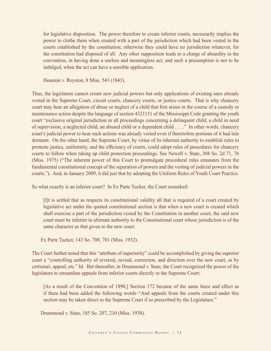for legislative disposition. The power therefore to create inferior courts, necessarily implies the power to clothe them when created with a part of the jurisdiction which had been vested in the courts established by the constitution; otherwise they could have no jurisdiction whatever, for the constitution had disposed of all. Any other supposition leads to a charge of absurdity in the convention, in having done a useless and meaningless act; and such a presumption is not to be indulged, when the act can have a sensible application.

Houston v. Royston, 8 Miss. 543 (1843).

Thus, the legislature cannot create new judicial powers but only applications of existing ones already vested in the Supreme Court, circuit courts, chancery courts, or justice courts. That is why chancery court may hear an allegation of abuse or neglect of a child that first arises in the course of a custody or maintenance action despite the language of section 4321151 of the Mississippi Code granting the youth court "exclusive original jurisdiction in all proceedings concerning a delinquent child, a child in need of supervision, a neglected child, an abused child or a dependent child . . . ." In other words, chancery court's judicial power to hear such actions was already vested even if theretofore portions of it had lain dormant. On the other hand, the Supreme Court, by virtue of its inherent authority to establish rules to promote justice, uniformity, and the efficiency of courts, could adopt rules of procedures for chancery courts to follow when taking up child protection proceedings. See Newell v. State, 308 So. 2d 71, 76 (Miss. 1975) ("The inherent power of this Court to promulgate procedural rules emanates from the fundamental constitutional concept of the separation of powers and the vesting of judicial powers in the courts."). And, in January 2009, it did just that by adopting the Uniform Rules of Youth Court Practice.

So what exactly is an inferior court? In Ex Parte Tucker, the Court remarked:

 [I]t is settled that as respects its constitutional validity all that is required of a court created by legislative act under the quoted constitutional section is that when a new court is created which shall exercise a part of the jurisdiction vested by the Constitution in another court, the said new court must be inferior in ultimate authority to the Constitutional court whose jurisdiction is of the same character as that given to the new court.

Ex Parte Tucker, 143 So. 700, 701 (Miss. 1932).

The Court further noted that this "attribute of superiority" could be accomplished by giving the superior court a "controlling authority of reversal, revisal, correction, and direction over the new court, as by certiorari, appeal, etc." Id. But thereafter, in Drummond v. State, the Court recognized the power of the legislature to streamline appeals from inferior courts directly to the Supreme Court:

 [As a result of the Convention of 1890,] Section 172 became of the same force and effect as if there had been added the following words–"And appeals from the courts created under this section may be taken direct to the Supreme Court if so prescribed by the Legislature."

Drummond v. State, 185 So. 207, 210 (Miss. 1938).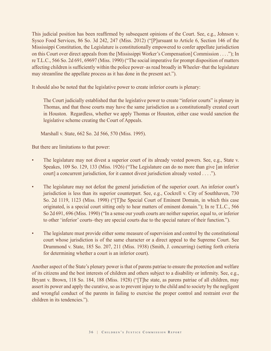This judicial position has been reaffirmed by subsequent opinions of the Court. See, e.g., Johnson v. Sysco Food Services, 86 So. 3d 242, 247 (Miss. 2012) ("[P]ursuant to Article 6, Section 146 of the Mississippi Constitution, the Legislature is constitutionally empowered to confer appellate jurisdiction on this Court over direct appeals from the [Mississippi Worker's Compensation] Commission . . . ."); In re T.L.C., 566 So. 2d 691, 69697 (Miss. 1990) ("The social imperative for prompt disposition of matters affecting children is sufficiently within the police power–as read broadly in Wheeler–that the legislature may streamline the appellate process as it has done in the present act.").

It should also be noted that the legislative power to create inferior courts is plenary:

 The Court judicially established that the legislative power to create "inferior courts" is plenary in Thomas, and that those courts may have the same jurisdiction as a constitutionally created court in Houston. Regardless, whether we apply Thomas or Houston, either case would sanction the legislative scheme creating the Court of Appeals.

Marshall v. State, 662 So. 2d 566, 570 (Miss. 1995).

But there are limitations to that power:

- The legislature may not divest a superior court of its already vested powers. See, e.g., State v. Speakes, 109 So. 129, 133 (Miss. 1926) ("The Legislature can do no more than give [an inferior court] a concurrent jurisdiction, for it cannot divest jurisdiction already vested . . . .").
- The legislature may not defeat the general jurisdiction of the superior court. An inferior court's jurisdiction is less than its superior counterpart. See, e.g., Cockrell v. City of Southhaven, 730 So. 2d 1119, 1123 (Miss. 1998) ("[T]he Special Court of Eminent Domain, in which this case originated, is a special court sitting only to hear matters of eminent domain."); In re T.L.C., 566 So 2d 691, 696 (Miss. 1990) ("In a sense our youth courts are neither superior, equal to, or inferior to other 'inferior' courts–they are special courts due to the special nature of their function.").
- The legislature must provide either some measure of supervision and control by the constitutional court whose jurisdiction is of the same character or a direct appeal to the Supreme Court. See Drummond v. State, 185 So. 207, 211 (Miss. 1938) (Smith, J. concurring) (setting forth criteria for determining whether a court is an inferior court).

Another aspect of the State's plenary power is that of parens patriae to ensure the protection and welfare of its citizens and the best interests of children and others subject to a disability or infirmity. See, e.g., Bryant v. Brown, 118 So. 184, 188 (Miss. 1928) ("[T]he state, as parens patriae of all children, may assert its power and apply the curative, so as to prevent injury to the child and to society by the negligent and wrongful conduct of the parents in failing to exercise the proper control and restraint over the children in its tendencies.").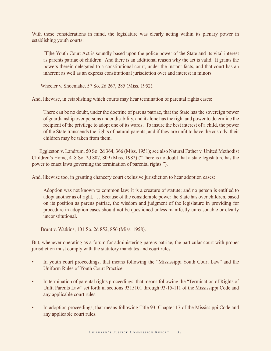With these considerations in mind, the legislature was clearly acting within its plenary power in establishing youth courts:

 [T]he Youth Court Act is soundly based upon the police power of the State and its vital interest as parents patriae of children. And there is an additional reason why the act is valid. It grants the powers therein delegated to a constitutional court, under the instant facts, and that court has an inherent as well as an express constitutional jurisdiction over and interest in minors.

Wheeler v. Shoemake, 57 So. 2d 267, 285 (Miss. 1952).

And, likewise, in establishing which courts may hear termination of parental rights cases:

 There can be no doubt, under the doctrine of parens patriae, that the State has the sovereign power of guardianship over persons under disability, and it alone has the right and power to determine the recipient of the privilege to adopt one of its wards. To insure the best interest of a child, the power of the State transcends the rights of natural parents; and if they are unfit to have the custody, their children may be taken from them.

 Eggleston v. Landrum, 50 So. 2d 364, 366 (Miss. 1951); see also Natural Father v. United Methodist Children's Home, 418 So. 2d 807, 809 (Miss. 1982) ("There is no doubt that a state legislature has the power to enact laws governing the termination of parental rights.").

And, likewise too, in granting chancery court exclusive jurisdiction to hear adoption cases:

 Adoption was not known to common law; it is a creature of statute; and no person is entitled to adopt another as of right. . . . Because of the considerable power the State has over children, based on its position as parens patriae, the wisdom and judgment of the legislature in providing for procedure in adoption cases should not be questioned unless manifestly unreasonable or clearly unconstitutional.

Brunt v. Watkins, 101 So. 2d 852, 856 (Miss. 1958).

But, whenever operating as a forum for administering parens patriae, the particular court with proper jurisdiction must comply with the statutory mandates and court rules.

- In youth court proceedings, that means following the "Mississippi Youth Court Law" and the Uniform Rules of Youth Court Practice.
- In termination of parental rights proceedings, that means following the "Termination of Rights of Unfit Parents Law" set forth in sections 9315101 through 93-15-111 of the Mississippi Code and any applicable court rules.
- In adoption proceedings, that means following Title 93, Chapter 17 of the Mississippi Code and any applicable court rules.